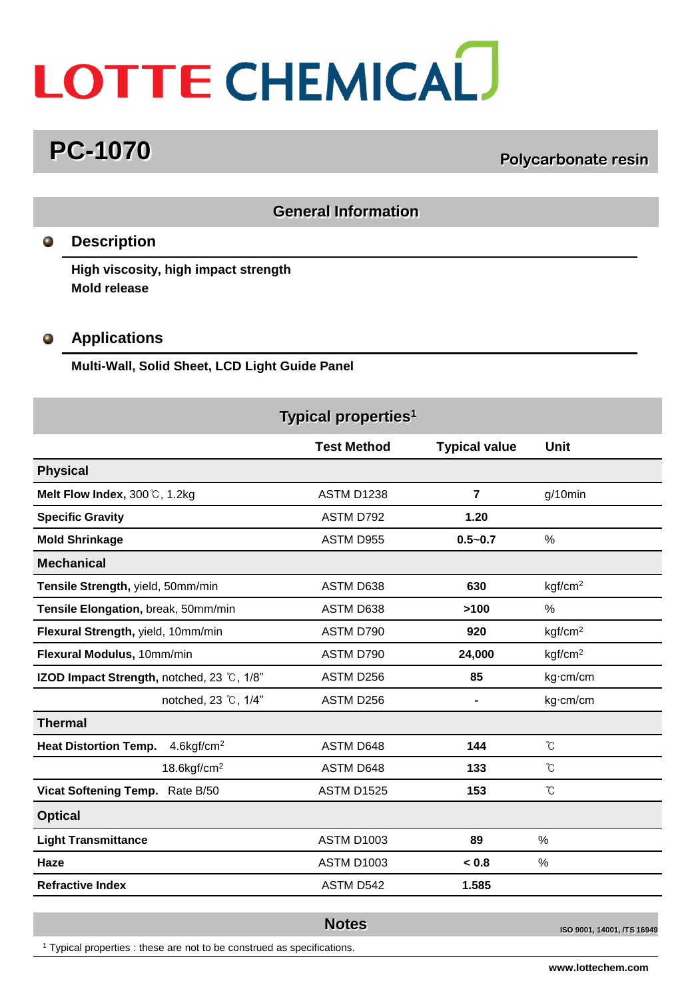# LOTTE CHEMICAL

# **PC-1070 PC-1070 POLYCARDON Polycarbonate resin**

### **General Information**

### **Description**  $\bullet$

**High viscosity, high impact strength Mold release**

### $\bullet$ **Applications**

**Multi-Wall, Solid Sheet, LCD Light Guide Panel**

|                                                           | Typical properties <sup>1</sup> |                      |                     |
|-----------------------------------------------------------|---------------------------------|----------------------|---------------------|
|                                                           | <b>Test Method</b>              | <b>Typical value</b> | Unit                |
| <b>Physical</b>                                           |                                 |                      |                     |
| Melt Flow Index, 300 ℃, 1.2kg                             | <b>ASTM D1238</b>               | $\overline{7}$       | $g/10$ min          |
| <b>Specific Gravity</b>                                   | ASTM D792                       | 1.20                 |                     |
| <b>Mold Shrinkage</b>                                     | ASTM D955                       | $0.5 - 0.7$          | %                   |
| <b>Mechanical</b>                                         |                                 |                      |                     |
| Tensile Strength, yield, 50mm/min                         | ASTM D638                       | 630                  | kgf/cm <sup>2</sup> |
| Tensile Elongation, break, 50mm/min                       | ASTM D638                       | >100                 | $\%$                |
| Flexural Strength, yield, 10mm/min                        | ASTM D790                       | 920                  | kgf/cm <sup>2</sup> |
| Flexural Modulus, 10mm/min                                | ASTM D790                       | 24,000               | kgf/cm <sup>2</sup> |
| IZOD Impact Strength, notched, 23 °C, 1/8"                | ASTM D256                       | 85                   | kg·cm/cm            |
| notched, 23 °C, 1/4"                                      | ASTM D256                       |                      | kg·cm/cm            |
| <b>Thermal</b>                                            |                                 |                      |                     |
| <b>Heat Distortion Temp.</b><br>$4.6$ kgf/cm <sup>2</sup> | ASTM D648                       | 144                  | $\rm ^{\circ}\!C$   |
| $18.6$ kgf/cm <sup>2</sup>                                | ASTM D648                       | 133                  | °C                  |
| Vicat Softening Temp. Rate B/50                           | <b>ASTM D1525</b>               | 153                  | °C                  |
| <b>Optical</b>                                            |                                 |                      |                     |
| <b>Light Transmittance</b>                                | <b>ASTM D1003</b>               | 89                   | $\%$                |
| Haze                                                      | <b>ASTM D1003</b>               | < 0.8                | $\%$                |
| <b>Refractive Index</b>                                   | ASTM D542                       | 1.585                |                     |
|                                                           | $\sim$ $\sim$                   |                      |                     |

**Notes ISO 9001, 14001, /TS 16949** 

<sup>1</sup> Typical properties : these are not to be construed as specifications.